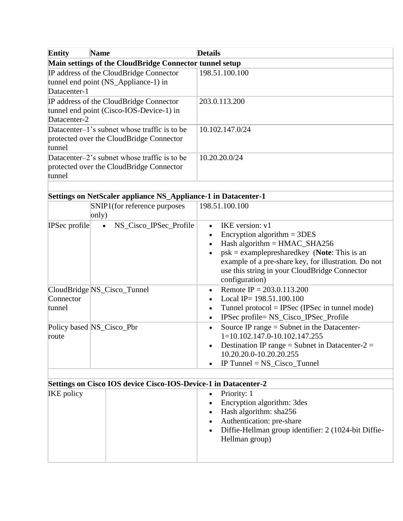| <b>Entity</b><br><b>Name</b>                                                                        | <b>Details</b>  |  |  |  |
|-----------------------------------------------------------------------------------------------------|-----------------|--|--|--|
| Main settings of the CloudBridge Connector tunnel setup                                             |                 |  |  |  |
| IP address of the CloudBridge Connector<br>tunnel end point (NS_Appliance-1) in<br>Datacenter-1     | 198.51.100.100  |  |  |  |
| IP address of the CloudBridge Connector<br>tunnel end point (Cisco-IOS-Device-1) in<br>Datacenter-2 | 203.0.113.200   |  |  |  |
| Datacenter–1's subnet whose traffic is to be<br>protected over the CloudBridge Connector<br>tunnel  | 10.102.147.0/24 |  |  |  |
| Datacenter–2's subnet whose traffic is to be<br>protected over the CloudBridge Connector<br>tunnel  | 10.20.20.0/24   |  |  |  |
|                                                                                                     |                 |  |  |  |

|  |  | Settings on NetScaler appliance NS_Appliance-1 in Datacenter-1 |
|--|--|----------------------------------------------------------------|
|  |  |                                                                |
|  |  |                                                                |
|  |  |                                                                |

| 198.51.100.100                                                                                                                                                                                                                                                  |
|-----------------------------------------------------------------------------------------------------------------------------------------------------------------------------------------------------------------------------------------------------------------|
| IKE version: v1<br>Encryption algorithm $= 3DES$<br>Hash algorithm = $HMAC\_SHA256$<br>$psk = examplepresharedkey$ (Note: This is an<br>example of a pre-share key, for illustration. Do not<br>use this string in your CloudBridge Connector<br>configuration) |
| Remote IP = $203.0.113.200$<br>Local IP= $198.51.100.100$<br>Tunnel protocol = IPSec (IPSec in tunnel mode)<br>IPSec profile= NS_Cisco_IPSec_Profile                                                                                                            |
| Source IP range $=$ Subnet in the Datacenter-<br>1=10.102.147.0-10.102.147.255<br>Destination IP range = Subnet in Datacenter- $2 =$<br>10.20.20.0-10.20.20.255<br>IP Tunnel $=$ NS_Cisco_Tunnel                                                                |
|                                                                                                                                                                                                                                                                 |

| Settings on Cisco IOS device Cisco-IOS-Device-1 in Datacenter-2 |                                                                                                                                                                                                 |  |  |  |
|-----------------------------------------------------------------|-------------------------------------------------------------------------------------------------------------------------------------------------------------------------------------------------|--|--|--|
| <b>IKE</b> policy                                               | • Priority: $1$<br>• Encryption algorithm: 3 des<br>$\bullet$ Hash algorithm: sha256<br>• Authentication: pre-share<br>• Diffie-Hellman group identifier: 2 (1024-bit Diffie-<br>Hellman group) |  |  |  |